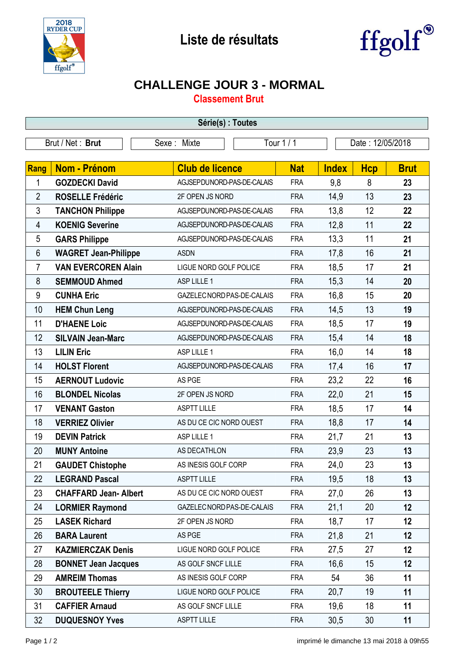



## **CHALLENGE JOUR 3 - MORMAL**

**Classement Brut**

| Série(s) : Toutes |                             |                            |            |              |                  |             |  |  |  |
|-------------------|-----------------------------|----------------------------|------------|--------------|------------------|-------------|--|--|--|
| Brut / Net: Brut  |                             | Sexe: Mixte                | Tour 1 / 1 |              | Date: 12/05/2018 |             |  |  |  |
|                   |                             |                            |            |              |                  |             |  |  |  |
| Rang              | <b>Nom - Prénom</b>         | <b>Club de licence</b>     | <b>Nat</b> | <b>Index</b> | <b>Hcp</b>       | <b>Brut</b> |  |  |  |
| 1                 | <b>GOZDECKI David</b>       | AGJSEPDUNORD-PAS-DE-CALAIS | <b>FRA</b> | 9,8          | 8                | 23          |  |  |  |
| $\overline{2}$    | <b>ROSELLE Frédéric</b>     | 2F OPEN JS NORD            | <b>FRA</b> | 14,9         | 13               | 23          |  |  |  |
| 3                 | <b>TANCHON Philippe</b>     | AGJSEPDUNORD-PAS-DE-CALAIS | <b>FRA</b> | 13,8         | 12               | 22          |  |  |  |
| 4                 | <b>KOENIG Severine</b>      | AGJSEPDUNORD-PAS-DE-CALAIS | <b>FRA</b> | 12,8         | 11               | 22          |  |  |  |
| 5                 | <b>GARS Philippe</b>        | AGJSEPDUNORD-PAS-DE-CALAIS | <b>FRA</b> | 13,3         | 11               | 21          |  |  |  |
| 6                 | <b>WAGRET Jean-Philippe</b> | <b>ASDN</b>                | <b>FRA</b> | 17,8         | 16               | 21          |  |  |  |
| $\overline{7}$    | <b>VAN EVERCOREN Alain</b>  | LIGUE NORD GOLF POLICE     | <b>FRA</b> | 18,5         | 17               | 21          |  |  |  |
| 8                 | <b>SEMMOUD Ahmed</b>        | ASP LILLE 1                | <b>FRA</b> | 15,3         | 14               | 20          |  |  |  |
| 9                 | <b>CUNHA Eric</b>           | GAZELEC NORD PAS-DE-CALAIS | <b>FRA</b> | 16,8         | 15               | 20          |  |  |  |
| 10                | <b>HEM Chun Leng</b>        | AGJSEPDUNORD-PAS-DE-CALAIS | <b>FRA</b> | 14,5         | 13               | 19          |  |  |  |
| 11                | <b>D'HAENE Loic</b>         | AGJSEPDUNORD-PAS-DE-CALAIS | <b>FRA</b> | 18,5         | 17               | 19          |  |  |  |
| 12                | <b>SILVAIN Jean-Marc</b>    | AGJSEPDUNORD-PAS-DE-CALAIS | <b>FRA</b> | 15,4         | 14               | 18          |  |  |  |
| 13                | <b>LILIN Eric</b>           | ASP LILLE 1                | <b>FRA</b> | 16,0         | 14               | 18          |  |  |  |
| 14                | <b>HOLST Florent</b>        | AGJSEPDUNORD-PAS-DE-CALAIS | <b>FRA</b> | 17,4         | 16               | 17          |  |  |  |
| 15                | <b>AERNOUT Ludovic</b>      | AS PGE                     | <b>FRA</b> | 23,2         | 22               | 16          |  |  |  |
| 16                | <b>BLONDEL Nicolas</b>      | 2F OPEN JS NORD            | <b>FRA</b> | 22,0         | 21               | 15          |  |  |  |
| 17                | <b>VENANT Gaston</b>        | <b>ASPTT LILLE</b>         | <b>FRA</b> | 18,5         | 17               | 14          |  |  |  |
| 18                | <b>VERRIEZ Olivier</b>      | AS DU CE CIC NORD OUEST    | <b>FRA</b> | 18,8         | 17               | 14          |  |  |  |
| 19                | <b>DEVIN Patrick</b>        | ASP LILLE 1                | <b>FRA</b> | 21,7         | 21               | 13          |  |  |  |
| 20                | <b>MUNY Antoine</b>         | AS DECATHLON               | <b>FRA</b> | 23,9         | 23               | 13          |  |  |  |
| 21                | <b>GAUDET Chistophe</b>     | AS INESIS GOLF CORP        | <b>FRA</b> | 24,0         | 23               | 13          |  |  |  |
| 22                | <b>LEGRAND Pascal</b>       | <b>ASPTT LILLE</b>         | <b>FRA</b> | 19,5         | 18               | 13          |  |  |  |
| 23                | <b>CHAFFARD Jean-Albert</b> | AS DU CE CIC NORD OUEST    | <b>FRA</b> | 27,0         | 26               | 13          |  |  |  |
| 24                | <b>LORMIER Raymond</b>      | GAZELEC NORD PAS-DE-CALAIS | <b>FRA</b> | 21,1         | 20               | 12          |  |  |  |
| 25                | <b>LASEK Richard</b>        | 2F OPEN JS NORD            | <b>FRA</b> | 18,7         | 17               | 12          |  |  |  |
| 26                | <b>BARA Laurent</b>         | AS PGE                     | <b>FRA</b> | 21,8         | 21               | 12          |  |  |  |
| 27                | <b>KAZMIERCZAK Denis</b>    | LIGUE NORD GOLF POLICE     | <b>FRA</b> | 27,5         | 27               | 12          |  |  |  |
| 28                | <b>BONNET Jean Jacques</b>  | AS GOLF SNCF LILLE         | <b>FRA</b> | 16,6         | 15               | 12          |  |  |  |
| 29                | <b>AMREIM Thomas</b>        | AS INESIS GOLF CORP        | <b>FRA</b> | 54           | 36               | 11          |  |  |  |
| 30                | <b>BROUTEELE Thierry</b>    | LIGUE NORD GOLF POLICE     | <b>FRA</b> | 20,7         | 19               | 11          |  |  |  |
| 31                | <b>CAFFIER Arnaud</b>       | AS GOLF SNCF LILLE         | <b>FRA</b> | 19,6         | 18               | 11          |  |  |  |
| 32                | <b>DUQUESNOY Yves</b>       | <b>ASPTT LILLE</b>         | <b>FRA</b> | 30,5         | 30               | 11          |  |  |  |